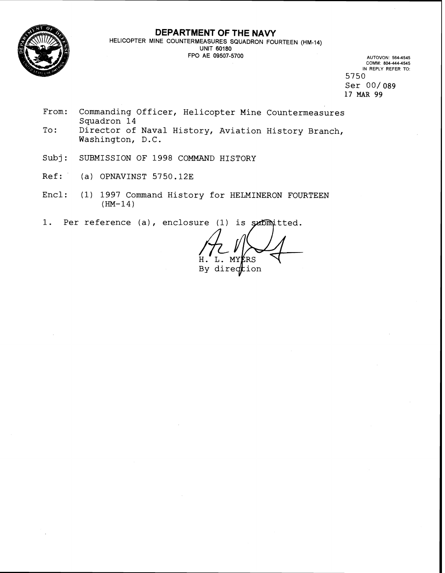

## **DEPARTMENT OF THE NAVY**

**HELICOPTER MINE COUNTERMEASURES SQUADRON FOURTEEN (HM-14) UNIT 60180 FPO AE 09507-5700 AUTOVON: 564-4545** 

**COMM 804-444-4545 IN REPLY REFER TO:**  5750 Ser 00/089 17 MAR 99

- From: Commanding Officer, Helicopter Mine Countermeasures Squadron 14
- To: Director of Naval History, Aviation History Branch, Washington, D.C.
- Subj: SUBMISSION OF 1998 COMMAND HISTORY
- Ref: (a) OPNAVINST 5750.12E
- Encl: (1) 1997 Command History for HELMINERON FOURTEEN  $(HM-14)$
- 1. Per reference (a), enclosure (1) is submitted.

L. MY RS By direction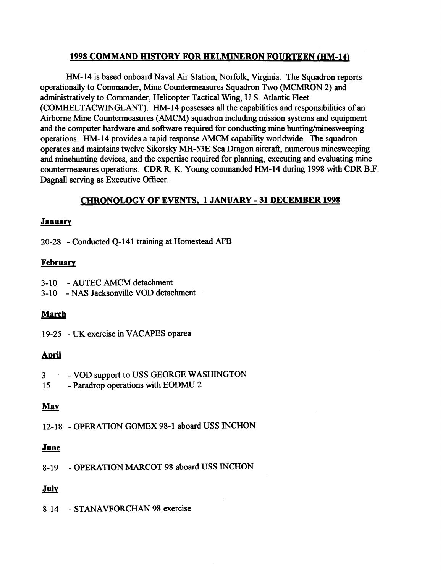## **1998 COMMAND HISTORY FOR HELMINERON FOURTEEN (HM-14)**

**HM-** 14 is based onboard Naval Air Station, Norfolk, Virginia. The Squadron reports operationally to Commander, Mine Countermeasures Squadron Two (MCMRON 2) and administratively to Commander, Helicopter Tactical Wing, U.S. Atlantic Fleet (COMHELTACWINGLANT). HM-14 possesses all the capabilities and responsibilities of an Airborne Mine Countermeasures (AMCM) squadron including mission systems and equipment and the computer hardware and software required for conducting mine hunting/minesweeping operations. HM-14 provides a rapid response AMCM capability worldwide. The squadron operates and maintains twelve Sikorsky MH-53E Sea Dragon aircraft, numerous minesweeping and minehunting devices, and the expertise required for planning, executing and evaluating mine countermeasures operations. CDR R. K. Young commanded HM-14 during 1998 with CDR B.F. Dagnall serving as Executive Officer.

## **CHRONOLOGY OF EVENTS, 1 JANUARY** - **31 DECEMBER 1998**

## **Januarv**

20-28 - Conducted 4-141 training at Homestead **AFB** 

## **Februarv**

- 3- 10 AUTEC AMCM detachment
- 3- 10 NAS Jacksonville VOD detachment

## **March**

19-25 - **UK** exercise in VACAFES oparea

# <u>April</u>

- 3 . VOD support to USS GEORGE WASHINGTON
- 15 Paradrop operations with EODMU 2

## *Mav*

12-1 8 - OPERATION **GOMEX** 98-1 aboard USS INCHON <mark>May</mark><br>12-18 - OF<br><u>June</u>

8-19 - OPERATION MARCOT 98 aboard USS INCHON

# **Julv**

8-14 - STANAVFORCHAN 98 exercise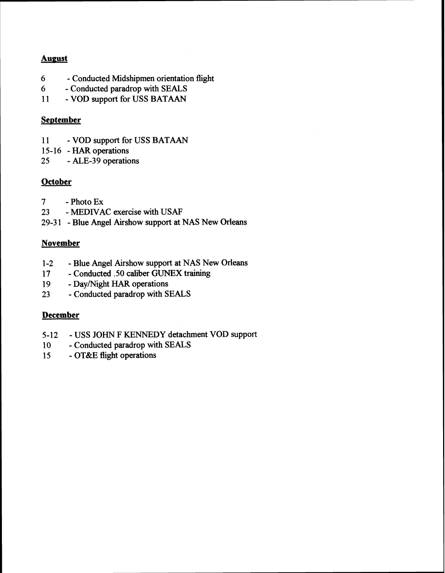## **Aueust**

- *6*  Conducted Midshipmen orientation flight
- *6*  Conducted paradrop with SEALS
- 11 VOD support for USS BATAAN

## **September**

- 11 VOD support for USS BATAAN
- 15-16 **HAR** operations
- 25 ALE-39 operations

# **October**

- 7 Photo EX
- 23 MEDIVAC exercise with USAF
- 29-3 1 Blue Angel Airshow support at **NAS New** Orleans

# **November**

- 1-2 Blue Angel Airshow support at **NAS** New Orleans
- 17 Conducted .50 caliber **GUNEX** training
- 19 Day/Night HAR operations
- 23 Conducted paradrop with SEALS

# **December**

- 5-12 USS JOHN F KENNEDY detachment VOD support
- 10 Conducted paradrop with SEALS
- 15 OT&E flight operations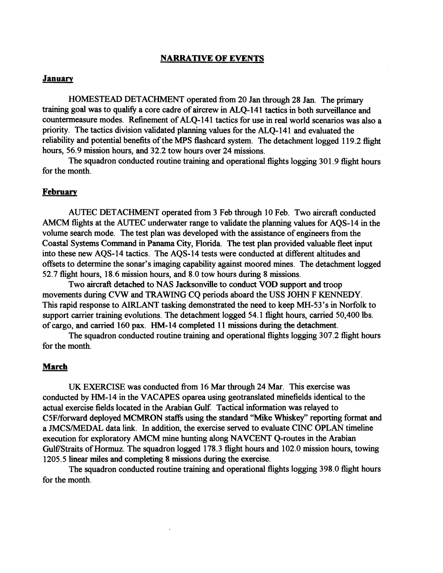#### **NARRATIVE OF EVENTS**

#### **January**

HOMESTEAD DETACHMENT operated from 20 Jan through 28 Jan. The primary training goal was to qualify a core cadre of aircrew in ALO-141 tactics in both surveillance and countermeasure modes. Refinement of ALQ-141 tactics for use in real world scenarios was also a priority. The tactics division validated planning values for the ALQ-141 and evaluated the reliability and potential benefits of the MPS flashcard system. The detachment logged 119.2 flight hours, 56.9 mission hours, and 32.2 tow hours over 24 missions.

The squadron conducted routine training and operational flights logging 301.9 flight hours for the month.

#### **February**

AUTEC DETACHMENT operated from 3 Feb through 10 Feb. Two aircraft conducted AMCM flights at the AUTEC underwater range to validate the planning values for AQS-14 in the volume search mode. The test plan was developed with the assistance of engineers from the Coastal Systems Command in Panama **City,** Florida. The test plan provided valuable fleet input into these new AQS-14 tactics. The AQS-14 tests were conducted at different altitudes and offsets to determine the sonar's imaging capability against moored mines. The detachment logged 52.7 flight hours, 18.6 mission hours, and 8.0 tow hours during 8 missions.

Two aircraft detached to NAS Jacksonville to conduct VOD support and troop movements during CVW and **TRAWING** CQ periods aboard the USS JOHN F KENNEDY. This rapid response to AIRLANT tasking demonstrated the need to keep MH-53's in Norfolk to support carrier training evolutions. The detachment logged 54.1 flight hours, carried 50,400 lbs. of cargo, and carried 160 pax. HM-14 completed 1 1 missions during the detachment.

The squadron conducted routine training and operational flights logging 307.2 flight hours for the month.

## **March**

UK EXERCISE was conducted from 16 Mar through 24 Mar. This exercise was conducted by HM-14 in the VACAPES oparea using geotranslated minefields identical to the actual exercise fields located in the Arabian Gulf. Tactical information was relayed to C5F/forward deployed MCMRON staffs using the standard "Mike Whiskey" reporting format and a JMCSJMEDAL data link. In addition, the exercise served to evaluate CINC OPLAN timeline execution for exploratory AMCM mine hunting along NAVCENT Q-routes in the Arabian Gulf/Straits of Hormuz. The squadron logged 178.3 flight hours and 102.0 mission hours, towing 1205.5 linear miles and completing 8 missions during the exercise.

The squadron conducted routine training and operational flights logging 398.0 flight hours for the month.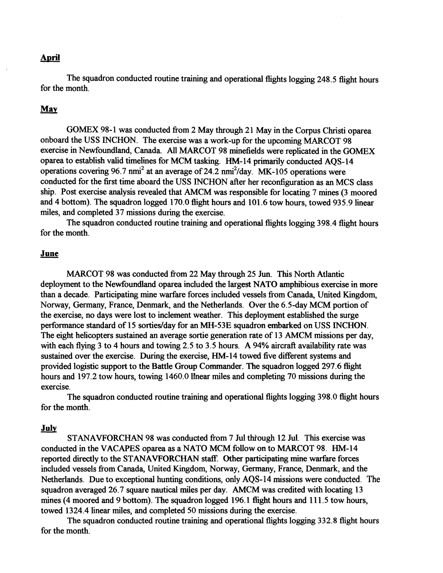#### **April**

The squadron conducted routine training and operational flights logging **248.5** flight hours for the month.

### May

**GOMEX 98-1** was conducted from **2** May through **21** May in the Corpus Christi oparea onboard the USS INCHON. The exercise was a work-up for the upcoming MARCOT 98 exercise in Newfoundland, Canada. All MARCOT **98** minefields were replicated in the GOMEX oparea to establish valid timelines for MCM tasking. **HM-14** primarily conducted AQS-14 operations covering **96.7** nmi2 at an average of **24.2** nmi2/day. **MK-105** operations were conducted for the first time aboard the USS INCHON aRer her reconfiguration as an MCS class ship. Post exercise analysis revealed that AMCM was responsible for locating **7** mines **(3** moored and **4** bottom). The squadron logged **170.0** flight hours and **101.6** tow hours, towed **935.9** linear

miles, and completed 37 missions during the exercise.<br>
The squadron conducted routine training and of or the month.<br> **June** The squadron conducted routine training and operational flights logging **398.4** flight hours for the month.

MARCOT **98** was conducted fiom **22** May through **25** Jun. This North Atlantic deployment to the Newfoundland oparea included the largest NATO amphibious exercise in more than a decade. Participating mine warfare forces included vessels from Canada, United Kingdom, Norway, Germany, France, Denmark, and the Netherlands. Over the 6.5-day MCM portion of the exercise, no days were lost to inclement weather. This deployment established the surge performance standard of **15** sortieslday for an **MH-53E** squadron embarked on USS INCHON. The eight helicopters sustained an average sortie generation rate of **13** AMCM missions per day, with each flying **3** to **4** hours and towing **2.5** to **3.5** hours. A **94%** aircraft availability rate was sustained over the exercise. During the exercise, **HM-14** towed five different systems and provided logistic suppofi to the Battle Group Commander. The squadron logged **297.6** flight hours and **197.2** tow hours, towing **1460.0** linear miles and completing **70** missions during the exercise.

The squadron conducted routine training and operational flights logging **398.0** flight hours for the month.

#### **Julv**

STANAVFORCHAN **98** was conducted from **7** Jul thi-ough **12** Jul. This exercise was conducted in the VACAPES oparea as a NATO MCM follow on to MARCOT **98. HM-14**  reported directly to the STANAVFORCHAN staff. Other participating mine warfare forces included vessels fiom Canada, United Kingdom, Norway, Germany, France, Denmark, and the Netherlands. Due to exceptional hunting conditions, only AQS-14 missions were conducted. The squadron averaged **26.7** square nautical miles per day. AMCM was credited with locating **13**  mines **(4** moored and **9** bottom). The squadron logged **196.1** flight hours and **11 1.5** tow hours, towed **1324.4** linear miles, and completed **50** missions during the exercise.

The squadron conducted routine training and operational flights logging 332.8 flight hours for the month.